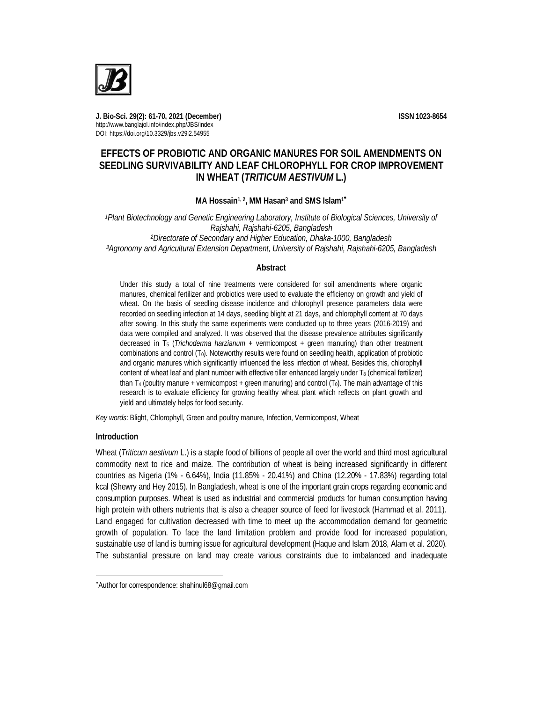

**J. Bio-Sci. 29(2): 61-70, 2021 (December) ISSN 1023-8654** http://www.banglajol.info/index.php/JBS/index DOI: https://doi.org/10.3329/jbs.v29i2.54955

# **EFFECTS OF PROBIOTIC AND ORGANIC MANURES FOR SOIL AMENDMENTS ON SEEDLING SURVIVABILITY AND LEAF CHLOROPHYLL FOR CROP IMPROVEMENT IN WHEAT (***TRITICUM AESTIVUM* **L.)**

# **MA Hossain1, <sup>2</sup> , MM Hasan<sup>3</sup> and SMS Islam<sup>1</sup>**

*Plant Biotechnology and Genetic Engineering Laboratory, Institute of Biological Sciences, University of Rajshahi, Rajshahi-6205, Bangladesh Directorate of Secondary and Higher Education, Dhaka-1000, Bangladesh Agronomy and Agricultural Extension Department, University of Rajshahi, Rajshahi-6205, Bangladesh*

## **Abstract**

Under this study a total of nine treatments were considered for soil amendments where organic manures, chemical fertilizer and probiotics were used to evaluate the efficiency on growth and yield of wheat. On the basis of seedling disease incidence and chlorophyll presence parameters data were recorded on seedling infection at 14 days, seedling blight at 21 days, and chlorophyll content at 70 days after sowing. In this study the same experiments were conducted up to three years (2016-2019) and data were compiled and analyzed. It was observed that the disease prevalence attributes significantly decreased in T<sup>5</sup> (*Trichoderma harzianum* + vermicompost + green manuring) than other treatment combinations and control  $(T_0)$ . Noteworthy results were found on seedling health, application of probiotic and organic manures which significantly influenced the less infection of wheat. Besides this, chlorophyll content of wheat leaf and plant number with effective tiller enhanced largely under  $T_8$  (chemical fertilizer) than  $T_4$  (poultry manure + vermicompost + green manuring) and control  $(T_0)$ . The main advantage of this research is to evaluate efficiency for growing healthy wheat plant which reflects on plant growth and yield and ultimately helps for food security.

*Key words*: Blight, Chlorophyll, Green and poultry manure, Infection, Vermicompost, Wheat

## **Introduction**

 $\overline{a}$ 

Wheat (*Triticum aestivum* L.) is a staple food of billions of people all over the world and third most agricultural commodity next to rice and maize. The contribution of wheat is being increased significantly in different countries as Nigeria (1% - 6.64%), India (11.85% - 20.41%) and China (12.20% - 17.83%) regarding total kcal (Shewry and Hey 2015). In Bangladesh, wheat is one of the important grain crops regarding economic and consumption purposes. Wheat is used as industrial and commercial products for human consumption having high protein with others nutrients that is also a cheaper source of feed for livestock (Hammad et al. 2011). Land engaged for cultivation decreased with time to meet up the accommodation demand for geometric growth of population. To face the land limitation problem and provide food for increased population, sustainable use of land is burning issue for agricultural development (Haque and Islam 2018, Alam et al. 2020). The substantial pressure on land may create various constraints due to imbalanced and inadequate

Author for correspondence: shahinul68@gmail.com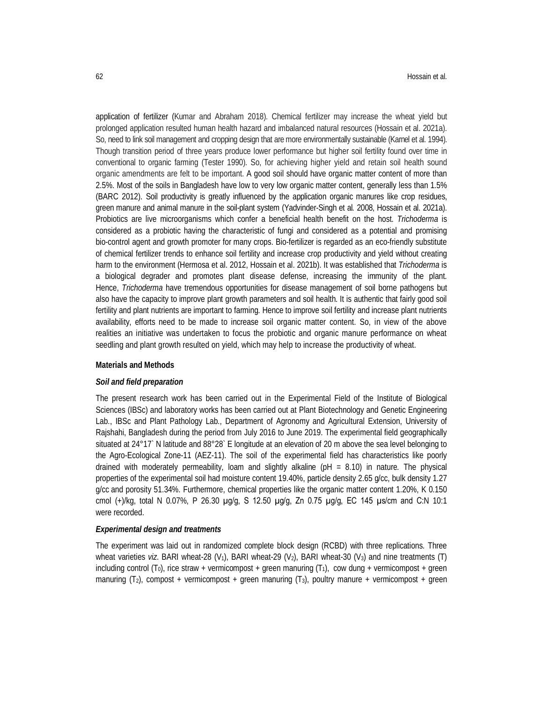application of fertilizer (Kumar and Abraham 2018). Chemical fertilizer may increase the wheat yield but prolonged application resulted human health hazard and imbalanced natural resources (Hossain et al. 2021a). So, need to link soil management and cropping design that are more environmentally sustainable (Karnel et al. 1994). Though transition period of three years produce lower performance but higher soil fertility found over time in conventional to organic farming (Tester 1990). So, for achieving higher yield and retain soil health sound organic amendments are felt to be important. A good soil should have organic matter content of more than 2.5%. Most of the soils in Bangladesh have low to very low organic matter content, generally less than 1.5% (BARC 2012). Soil productivity is greatly influenced by the application organic manures like crop residues, green manure and animal manure in the soil-plant system (Yadvinder-Singh et al*.* 2008, Hossain et al. 2021a). Probiotics are live microorganisms which confer a beneficial health benefit on the host. *Trichoderma* is considered as a probiotic having the characteristic of fungi and considered as a potential and promising bio-control agent and growth promoter for many crops. Bio-fertilizer is regarded as an eco-friendly substitute of chemical fertilizer trends to enhance soil fertility and increase crop productivity and yield without creating harm to the environment (Hermosa et al. 2012, Hossain et al. 2021b). It was established that *Trichoderma* is a biological degrader and promotes plant disease defense, increasing the immunity of the plant. Hence, *Trichoderma* have tremendous opportunities for disease management of soil borne pathogens but also have the capacity to improve plant growth parameters and soil health. It is authentic that fairly good soil fertility and plant nutrients are important to farming. Hence to improve soil fertility and increase plant nutrients availability, efforts need to be made to increase soil organic matter content. So, in view of the above realities an initiative was undertaken to focus the probiotic and organic manure performance on wheat seedling and plant growth resulted on yield, which may help to increase the productivity of wheat.

### **Materials and Methods**

#### *Soil and field preparation*

The present research work has been carried out in the Experimental Field of the Institute of Biological Sciences (IBSc) and laboratory works has been carried out at Plant Biotechnology and Genetic Engineering Lab., IBSc and Plant Pathology Lab., Department of Agronomy and Agricultural Extension, University of Rajshahi, Bangladesh during the period from July 2016 to June 2019. The experimental field geographically situated at 24°17` N latitude and 88°28` E longitude at an elevation of 20 m above the sea level belonging to the Agro-Ecological Zone-11 (AEZ-11). The soil of the experimental field has characteristics like poorly drained with moderately permeability, loam and slightly alkaline (pH = 8.10) in nature. The physical properties of the experimental soil had moisture content 19.40%, particle density 2.65 g/cc, bulk density 1.27 g/cc and porosity 51.34%. Furthermore, chemical properties like the organic matter content 1.20%, K 0.150 cmol (+)/kg, total N 0.07%, P 26.30 µg/g, S 12.50 µg/g, Zn 0.75 µg/g, EC 145 µs/cm and C:N 10:1 were recorded.

#### *Experimental design and treatments*

The experiment was laid out in randomized complete block design (RCBD) with three replications. Three wheat varieties *viz.* BARI wheat-28 (V<sub>1</sub>), BARI wheat-29 (V<sub>2</sub>), BARI wheat-30 (V<sub>3</sub>) and nine treatments (T) including control  $(T_0)$ , rice straw + vermicompost + green manuring  $(T_1)$ , cow dung + vermicompost + green manuring  $(T_2)$ , compost + vermicompost + green manuring  $(T_3)$ , poultry manure + vermicompost + green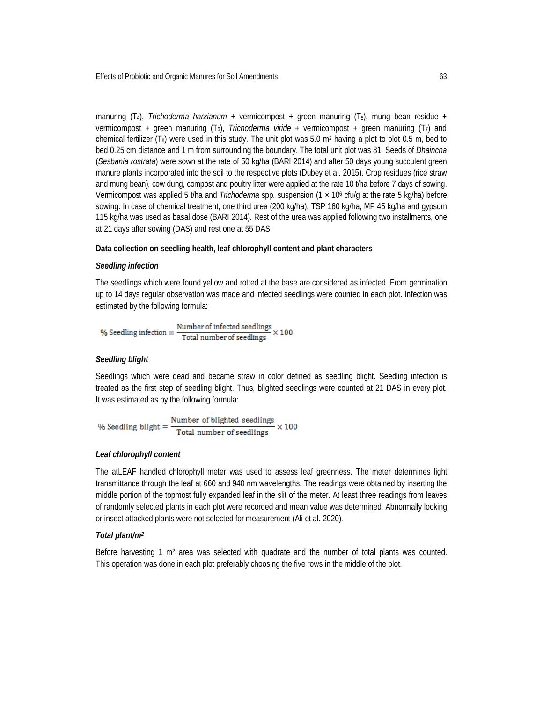manuring  $(T_4)$ , *Trichoderma harzianum* + vermicompost + green manuring  $(T_5)$ , mung bean residue + vermicompost + green manuring (T<sub>6</sub>), *Trichoderma viride* + vermicompost + green manuring (T<sub>7</sub>) and chemical fertilizer (T<sub>8</sub>) were used in this study. The unit plot was 5.0 m<sup>2</sup> having a plot to plot 0.5 m, bed to bed 0.25 cm distance and 1 m from surrounding the boundary. The total unit plot was 81. Seeds of *Dhaincha* (*Sesbania rostrata*) were sown at the rate of 50 kg/ha (BARI 2014) and after 50 days young succulent green manure plants incorporated into the soil to the respective plots (Dubey et al. 2015). Crop residues (rice straw and mung bean), cow dung, compost and poultry litter were applied at the rate 10 t/ha before 7 days of sowing. Vermicompost was applied 5 t/ha and *Trichoderma* spp. suspension (1 × 10<sup>6</sup> cfu/g at the rate 5 kg/ha) before sowing. In case of chemical treatment, one third urea (200 kg/ha), TSP 160 kg/ha, MP 45 kg/ha and gypsum 115 kg/ha was used as basal dose (BARI 2014). Rest of the urea was applied following two installments, one at 21 days after sowing (DAS) and rest one at 55 DAS.

### **Data collection on seedling health, leaf chlorophyll content and plant characters**

#### *Seedling infection*

The seedlings which were found yellow and rotted at the base are considered as infected. From germination up to 14 days regular observation was made and infected seedlings were counted in each plot. Infection was estimated by the following formula:

$$
\% \ \text{Seeding infection} = \frac{\text{Number of infected seedlings}}{\text{Total number of seedlings}} \times 100
$$

### *Seedling blight*

Seedlings which were dead and became straw in color defined as seedling blight. Seedling infection is treated as the first step of seedling blight. Thus, blighted seedlings were counted at 21 DAS in every plot. It was estimated as by the following formula:

% Seedling blight =  $\frac{\text{Number of blighted seedlings}}{\text{Total number of seedlings}} \times 100$ 

### *Leaf chlorophyll content*

The atLEAF handled chlorophyll meter was used to assess leaf greenness. The meter determines light transmittance through the leaf at 660 and 940 nm wavelengths. The readings were obtained by inserting the middle portion of the topmost fully expanded leaf in the slit of the meter. At least three readings from leaves of randomly selected plants in each plot were recorded and mean value was determined. Abnormally looking or insect attacked plants were not selected for measurement (Ali et al. 2020).

#### *Total plant/m<sup>2</sup>*

Before harvesting 1 m<sup>2</sup> area was selected with quadrate and the number of total plants was counted. This operation was done in each plot preferably choosing the five rows in the middle of the plot.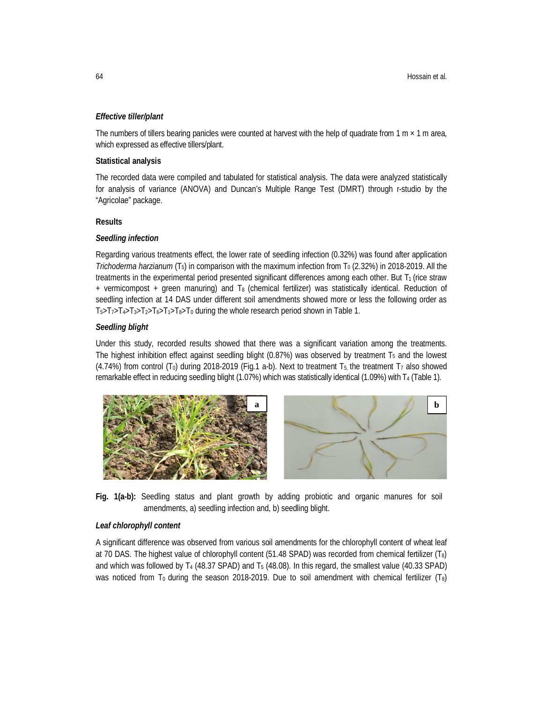## *Effective tiller/plant*

The numbers of tillers bearing panicles were counted at harvest with the help of quadrate from  $1 \text{ m} \times 1 \text{ m}$  area, which expressed as effective tillers/plant.

## **Statistical analysis**

The recorded data were compiled and tabulated for statistical analysis. The data were analyzed statistically for analysis of variance (ANOVA) and Duncan's Multiple Range Test (DMRT) through r-studio by the "Agricolae" package.

## **Results**

## *Seedling infection*

Regarding various treatments effect, the lower rate of seedling infection (0.32%) was found after application *Trichoderma harzianum* (T<sub>5</sub>) in comparison with the maximum infection from T<sub>0</sub> (2.32%) in 2018-2019. All the treatments in the experimental period presented significant differences among each other. But  $T_1$  (rice straw + vermicompost + green manuring) and T8 (chemical fertilizer) was statistically identical. Reduction of seedling infection at 14 DAS under different soil amendments showed more or less the following order as T<sub>5</sub>>T<sub>7</sub>>T<sub>4</sub>>T<sub>3</sub>>T<sub>2</sub>>T<sub>6</sub>>T<sub>1</sub>>T<sub>8</sub>>T<sub>0</sub> during the whole research period shown in Table 1.

## *Seedling blight*

Under this study, recorded results showed that there was a significant variation among the treatments. The highest inhibition effect against seedling blight (0.87%) was observed by treatment T<sup>5</sup> and the lowest (4.74%) from control (T<sub>0</sub>) during 2018-2019 (Fig.1 a-b). Next to treatment T<sub>5</sub>, the treatment T<sub>7</sub> also showed remarkable effect in reducing seedling blight (1.07%) which was statistically identical (1.09%) with T<sub>4</sub> (Table 1).



**Fig. 1(a-b):** Seedling status and plant growth by adding probiotic and organic manures for soil amendments, a) seedling infection and, b) seedling blight.

## *Leaf chlorophyll content*

A significant difference was observed from various soil amendments for the chlorophyll content of wheat leaf at 70 DAS. The highest value of chlorophyll content (51.48 SPAD) was recorded from chemical fertilizer (T8) and which was followed by T<sub>4</sub> (48.37 SPAD) and T<sub>5</sub> (48.08). In this regard, the smallest value (40.33 SPAD) was noticed from T<sub>0</sub> during the season 2018-2019. Due to soil amendment with chemical fertilizer (T<sub>8</sub>)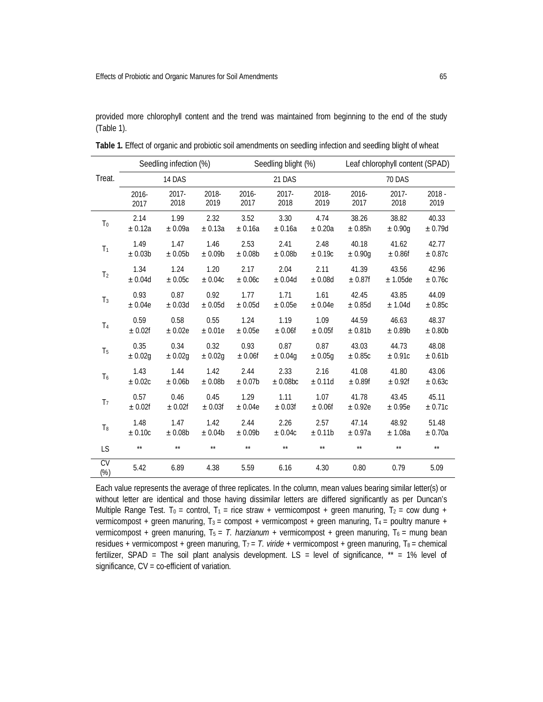provided more chlorophyll content and the trend was maintained from beginning to the end of the study (Table 1).

|                                  | Seedling infection (%) |             |              | Seedling blight (%) |          |         | Leaf chlorophyll content (SPAD) |              |          |
|----------------------------------|------------------------|-------------|--------------|---------------------|----------|---------|---------------------------------|--------------|----------|
| Treat.                           | 14 DAS                 |             |              | 21 DAS              |          |         | <b>70 DAS</b>                   |              |          |
|                                  | 2016-                  | $2017 -$    | 2018-        | 2016-               | $2017 -$ | 2018-   | 2016-                           | $2017 -$     | $2018 -$ |
|                                  | 2017                   | 2018        | 2019         | 2017                | 2018     | 2019    | 2017                            | 2018         | 2019     |
| T <sub>0</sub>                   | 2.14                   | 1.99        | 2.32         | 3.52                | 3.30     | 4.74    | 38.26                           | 38.82        | 40.33    |
|                                  | ± 0.12a                | ± 0.09a     | ± 0.13a      | ± 0.16a             | ± 0.16a  | ± 0.20a | ± 0.85h                         | ± 0.90g      | ± 0.79d  |
| T <sub>1</sub>                   | 1.49                   | 1.47        | 1.46         | 2.53                | 2.41     | 2.48    | 40.18                           | 41.62        | 42.77    |
|                                  | ± 0.03b                | ± 0.05b     | ± 0.09b      | ± 0.08b             | ± 0.08b  | ± 0.19c | ± 0.90q                         | ± 0.86f      | ± 0.87c  |
| T <sub>2</sub>                   | 1.34                   | 1.24        | 1.20         | 2.17                | 2.04     | 2.11    | 41.39                           | 43.56        | 42.96    |
|                                  | ± 0.04d                | ± 0.05c     | ± 0.04c      | ± 0.06c             | ± 0.04d  | ± 0.08d | ± 0.87f                         | $± 1.05$ de  | ± 0.76c  |
| T <sub>3</sub>                   | 0.93                   | 0.87        | 0.92         | 1.77                | 1.71     | 1.61    | 42.45                           | 43.85        | 44.09    |
|                                  | ± 0.04e                | ± 0.03d     | ± 0.05d      | ± 0.05d             | ± 0.05e  | ± 0.04e | ± 0.85d                         | ± 1.04d      | ±0.85c   |
| T <sub>4</sub>                   | 0.59                   | 0.58        | 0.55         | 1.24                | 1.19     | 1.09    | 44.59                           | 46.63        | 48.37    |
|                                  | ± 0.02f                | ± 0.02e     | ± 0.01e      | ± 0.05e             | ± 0.06f  | ± 0.05f | ± 0.81b                         | ± 0.89b      | ± 0.80b  |
| T <sub>5</sub>                   | 0.35                   | 0.34        | 0.32         | 0.93                | 0.87     | 0.87    | 43.03                           | 44.73        | 48.08    |
|                                  | ± 0.02g                | $\pm 0.02g$ | ± 0.02g      | ± 0.06f             | ± 0.04g  | ± 0.05g | ± 0.85c                         | ± 0.91c      | ± 0.61b  |
| T <sub>6</sub>                   | 1.43                   | 1.44        | 1.42         | 2.44                | 2.33     | 2.16    | 41.08                           | 41.80        | 43.06    |
|                                  | ± 0.02c                | ± 0.06b     | ± 0.08b      | ± 0.07b             | ± 0.08bc | ± 0.11d | ± 0.89f                         | ± 0.92f      | ± 0.63c  |
| T <sub>7</sub>                   | 0.57                   | 0.46        | 0.45         | 1.29                | 1.11     | 1.07    | 41.78                           | 43.45        | 45.11    |
|                                  | ± 0.02f                | ± 0.02f     | ± 0.03f      | ± 0.04e             | ± 0.03f  | ± 0.06f | ± 0.92e                         | ± 0.95e      | ± 0.71c  |
| T <sub>8</sub>                   | 1.48                   | 1.47        | 1.42         | 2.44                | 2.26     | 2.57    | 47.14                           | 48.92        | 51.48    |
|                                  | ± 0.10c                | ± 0.08b     | ± 0.04b      | ± 0.09b             | ± 0.04c  | ± 0.11b | ± 0.97a                         | ± 1.08a      | ± 0.70a  |
| LS                               | $**$                   | $**$        | $\star\star$ | $\star\star$        | $**$     | $**$    | $**$                            | $\star\star$ | $**$     |
| $\overline{\text{CV}}$<br>$(\%)$ | 5.42                   | 6.89        | 4.38         | 5.59                | 6.16     | 4.30    | 0.80                            | 0.79         | 5.09     |

**Table 1.** Effect of organic and probiotic soil amendments on seedling infection and seedling blight of wheat

Each value represents the average of three replicates. In the column, mean values bearing similar letter(s) or without letter are identical and those having dissimilar letters are differed significantly as per Duncan's Multiple Range Test. T<sub>0</sub> = control, T<sub>1</sub> = rice straw + vermicompost + green manuring, T<sub>2</sub> = cow dung + vermicompost + green manuring,  $T_3$  = compost + vermicompost + green manuring,  $T_4$  = poultry manure + vermicompost + green manuring,  $T_5 = T$ . *harzianum* + vermicompost + green manuring,  $T_6$  = mung bean residues + vermicompost + green manuring,  $T_7 = T$ . viride + vermicompost + green manuring,  $T_8$  = chemical fertilizer, SPAD = The soil plant analysis development. LS = level of significance,  $**$  = 1% level of significance, CV = co-efficient of variation.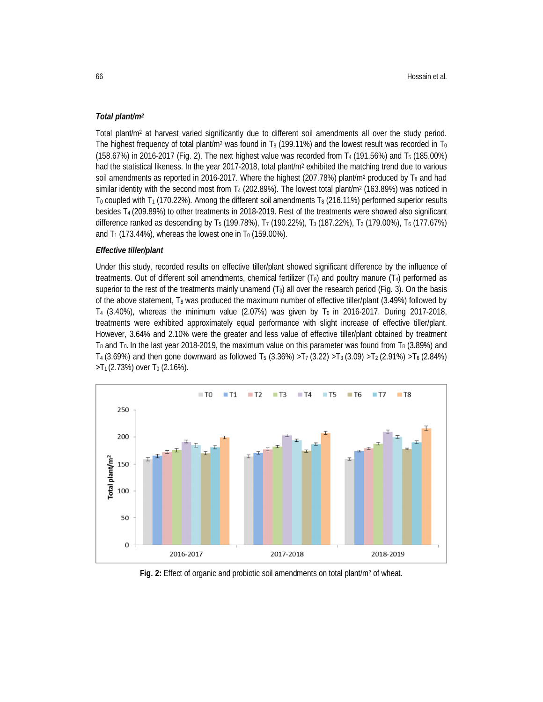## *Total plant/m<sup>2</sup>*

Total plant/m<sup>2</sup> at harvest varied significantly due to different soil amendments all over the study period. The highest frequency of total plant/m<sup>2</sup> was found in T<sub>8</sub> (199.11%) and the lowest result was recorded in T<sub>0</sub> (158.67%) in 2016-2017 (Fig. 2). The next highest value was recorded from T<sub>4</sub> (191.56%) and T<sub>5</sub> (185.00%) had the statistical likeness. In the year 2017-2018, total plant/m<sup>2</sup> exhibited the matching trend due to various soil amendments as reported in 2016-2017. Where the highest (207.78%) plant/m<sup>2</sup> produced by  $T_8$  and had similar identity with the second most from T<sub>4</sub> (202.89%). The lowest total plant/m<sup>2</sup> (163.89%) was noticed in  $T_0$  coupled with T<sub>1</sub> (170.22%). Among the different soil amendments T<sub>8</sub> (216.11%) performed superior results besides T4 (209.89%) to other treatments in 2018-2019. Rest of the treatments were showed also significant difference ranked as descending by T<sub>5</sub> (199.78%), T<sub>7</sub> (190.22%), T<sub>3</sub> (187.22%), T<sub>2</sub> (179.00%), T<sub>6</sub> (177.67%) and  $T_1$  (173.44%), whereas the lowest one in  $T_0$  (159.00%).

#### *Effective tiller/plant*

Under this study, recorded results on effective tiller/plant showed significant difference by the influence of treatments. Out of different soil amendments, chemical fertilizer  $(T_8)$  and poultry manure  $(T_4)$  performed as superior to the rest of the treatments mainly unamend  $(T_0)$  all over the research period (Fig. 3). On the basis of the above statement,  $T_8$  was produced the maximum number of effective tiller/plant (3.49%) followed by  $T_4$  (3.40%), whereas the minimum value (2.07%) was given by  $T_0$  in 2016-2017. During 2017-2018, treatments were exhibited approximately equal performance with slight increase of effective tiller/plant. However, 3.64% and 2.10% were the greater and less value of effective tiller/plant obtained by treatment  $T_8$  and  $T_0$ . In the last year 2018-2019, the maximum value on this parameter was found from  $T_8$  (3.89%) and  $T_4$  (3.69%) and then gone downward as followed T<sub>5</sub> (3.36%) >T<sub>7</sub> (3.22) >T<sub>3</sub> (3.09) >T<sub>2</sub> (2.91%) >T<sub>6</sub> (2.84%)  $>$ T<sub>1</sub> (2.73%) over T<sub>0</sub> (2.16%).



**Fig. 2:** Effect of organic and probiotic soil amendments on total plant/m<sup>2</sup> of wheat.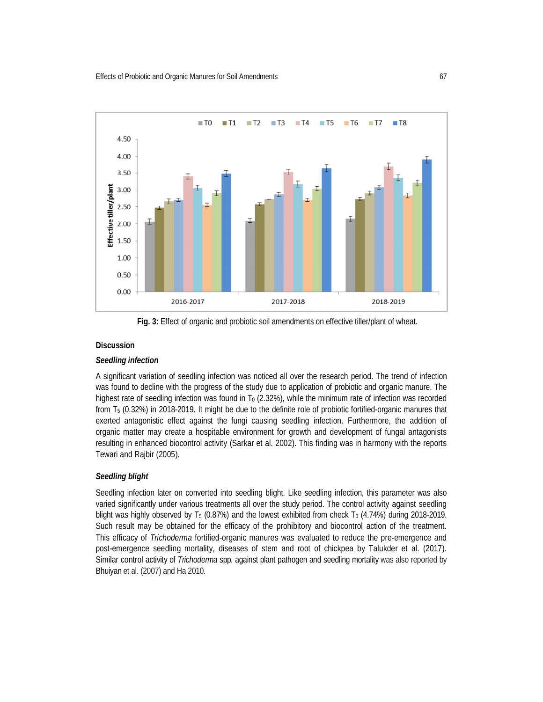

Fig. 3: Effect of organic and probiotic soil amendments on effective tiller/plant of wheat.

## **Discussion**

## *Seedling infection*

A significant variation of seedling infection was noticed all over the research period. The trend of infection was found to decline with the progress of the study due to application of probiotic and organic manure. The highest rate of seedling infection was found in  $T_0$  (2.32%), while the minimum rate of infection was recorded from T<sup>5</sup> (0.32%) in 2018-2019. It might be due to the definite role of probiotic fortified-organic manures that exerted antagonistic effect against the fungi causing seedling infection. Furthermore, the addition of organic matter may create a hospitable environment for growth and development of fungal antagonists resulting in enhanced biocontrol activity (Sarkar et al. 2002). This finding was in harmony with the reports Tewari and Rajbir (2005).

## *Seedling blight*

Seedling infection later on converted into seedling blight. Like seedling infection, this parameter was also varied significantly under various treatments all over the study period. The control activity against seedling blight was highly observed by  $T_5$  (0.87%) and the lowest exhibited from check  $T_0$  (4.74%) during 2018-2019. Such result may be obtained for the efficacy of the prohibitory and biocontrol action of the treatment. This efficacy of *Trichoderma* fortified-organic manures was evaluated to reduce the pre-emergence and post-emergence seedling mortality, diseases of stem and root of chickpea by Talukder et al. (2017). Similar control activity of *Trichoderma* spp. against plant pathogen and seedling mortality was also reported by Bhuiyan et al. (2007) and Ha 2010.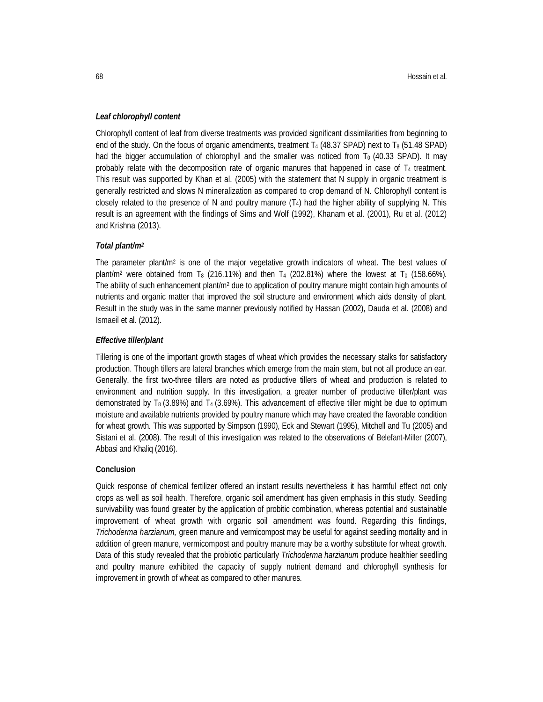### *Leaf chlorophyll content*

Chlorophyll content of leaf from diverse treatments was provided significant dissimilarities from beginning to end of the study. On the focus of organic amendments, treatment  $T_4$  (48.37 SPAD) next to  $T_8$  (51.48 SPAD) had the bigger accumulation of chlorophyll and the smaller was noticed from  $T_0$  (40.33 SPAD). It may probably relate with the decomposition rate of organic manures that happened in case of  $T_4$  treatment. This result was supported by Khan et al. (2005) with the statement that N supply in organic treatment is generally restricted and slows N mineralization as compared to crop demand of N. Chlorophyll content is closely related to the presence of N and poultry manure  $(T_4)$  had the higher ability of supplying N. This result is an agreement with the findings of Sims and Wolf (1992), Khanam et al. (2001), Ru et al. (2012) and Krishna (2013).

## *Total plant/m<sup>2</sup>*

The parameter plant/m<sup>2</sup> is one of the major vegetative growth indicators of wheat. The best values of plant/m<sup>2</sup> were obtained from T<sub>8</sub> (216.11%) and then T<sub>4</sub> (202.81%) where the lowest at T<sub>0</sub> (158.66%). The ability of such enhancement plant/m<sup>2</sup> due to application of poultry manure might contain high amounts of nutrients and organic matter that improved the soil structure and environment which aids density of plant. Result in the study was in the same manner previously notified by Hassan (2002), Dauda et al. (2008) and Ismaeil et al. (2012).

#### *Effective tiller/plant*

Tillering is one of the important growth stages of wheat which provides the necessary stalks for satisfactory production. Though tillers are lateral branches which emerge from the main stem, but not all produce an ear. Generally, the first two-three tillers are noted as productive tillers of wheat and production is related to environment and nutrition supply. In this investigation, a greater number of productive tiller/plant was demonstrated by T<sub>8</sub> (3.89%) and T<sub>4</sub> (3.69%). This advancement of effective tiller might be due to optimum moisture and available nutrients provided by poultry manure which may have created the favorable condition for wheat growth. This was supported by Simpson (1990), Eck and Stewart (1995), Mitchell and Tu (2005) and Sistani et al. (2008). The result of this investigation was related to the observations of Belefant-Miller (2007), Abbasi and Khaliq (2016).

#### **Conclusion**

Quick response of chemical fertilizer offered an instant results nevertheless it has harmful effect not only crops as well as soil health. Therefore, organic soil amendment has given emphasis in this study. Seedling survivability was found greater by the application of probitic combination, whereas potential and sustainable improvement of wheat growth with organic soil amendment was found. Regarding this findings, *Trichoderma harzianum,* green manure and vermicompost may be useful for against seedling mortality and in addition of green manure, vermicompost and poultry manure may be a worthy substitute for wheat growth. Data of this study revealed that the probiotic particularly *Trichoderma harzianum* produce healthier seedling and poultry manure exhibited the capacity of supply nutrient demand and chlorophyll synthesis for improvement in growth of wheat as compared to other manures.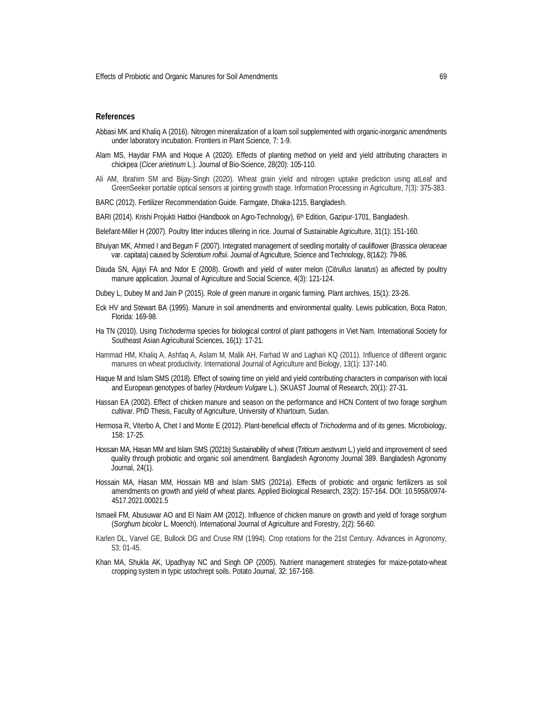#### **References**

- Abbasi MK and Khaliq A (2016). Nitrogen mineralization of a loam soil supplemented with organic-inorganic amendments under laboratory incubation. Frontiers in Plant Science*,* 7: 1-9.
- Alam MS, Haydar FMA and Hoque A (2020). Effects of planting method on yield and yield attributing characters in chickpea (*Cicer arietinum* L.). Journal of Bio-Science, 28(20): 105-110.
- Ali AM, Ibrahim SM and Bijay-Singh (2020). Wheat grain yield and nitrogen uptake prediction using atLeaf and GreenSeeker portable optical sensors at jointing growth stage. Information Processing in Agriculture, 7(3): 375-383.
- BARC (2012). Fertilizer Recommendation Guide. Farmgate, Dhaka-1215, Bangladesh.
- BARI (2014). Krishi Projukti Hatboi (Handbook on Agro-Technology), 6th Edition, Gazipur-1701, Bangladesh.
- Belefant-Miller H (2007). Poultry litter induces tillering in rice. Journal of Sustainable Agriculture, 31(1): 151-160.
- Bhuiyan MK, Ahmed I and Begum F (2007). Integrated management of seedling mortality of cauliflower (*Brassica oleraceae* var. capitata) caused by *Sclerotium rolfsii*. Journal of Agriculture, Science and Technology, 8(1&2): 79-86.
- Dauda SN, Ajayi FA and Ndor E (2008). Growth and yield of water melon (*Citrullus lanatus*) as affected by poultry manure application. Journal of Agriculture and Social Science, 4(3): 121-124.
- Dubey L, Dubey M and Jain P (2015). Role of green manure in organic farming. Plant archives, 15(1): 23-26.
- Eck HV and Stewart BA (1995). Manure in soil amendments and environmental quality. Lewis publication, Boca Raton, Florida: 169-98.
- Ha TN (2010). Using *Trichoderma* species for biological control of plant pathogens in Viet Nam. International Society for Southeast Asian Agricultural Sciences, 16(1): 17-21.
- Hammad HM, Khaliq A, Ashfaq A, Aslam M, Malik AH, Farhad W and Laghari KQ (2011). Influence of different organic manures on wheat productivity. International Journal of Agriculture and Biology, 13(1): 137-140.
- Haque M and Islam SMS (2018). Effect of sowing time on yield and yield contributing characters in comparison with local and European genotypes of barley (*Hordeum Vulgare* L.). SKUAST Journal of Research, 20(1): 27-31.
- Hassan EA (2002). Effect of chicken manure and season on the performance and HCN Content of two forage sorghum cultivar. PhD Thesis, Faculty of Agriculture, University of Khartoum, Sudan.
- Hermosa R, Viterbo A, Chet I and Monte E (2012). Plant-beneficial effects of *Trichoderma* and of its genes. Microbiology, 158: 17-25.
- Hossain MA, Hasan MM and Islam SMS (2021b) Sustainability of wheat (*Triticum aestivum* L.) yield and improvement of seed quality through probiotic and organic soil amendment. Bangladesh Agronomy Journal 389. Bangladesh Agronomy Journal, 24(1).
- Hossain MA, Hasan MM, Hossain MB and Islam SMS (2021a). Effects of probiotic and organic fertilizers as soil amendments on growth and yield of wheat plants. Applied Biological Research, 23(2): 157-164. DOI: 10.5958/0974- 4517.2021.00021.5
- Ismaeil FM, Abusuwar AO and El Naim AM (2012). Influence of chicken manure on growth and yield of forage sorghum (*Sorghum bicolor* L. Moench). International Journal of Agriculture and Forestry, 2(2): 56-60.
- Karlen DL, Varvel GE, Bullock DG and Cruse RM (1994). Crop rotations for the 21st Century. Advances in Agronomy, 53: 01-45.
- Khan MA, Shukla AK, Upadhyay NC and Singh OP (2005). Nutrient management strategies for maize-potato-wheat cropping system in typic ustochrept soils. Potato Journal, 32: 167-168.